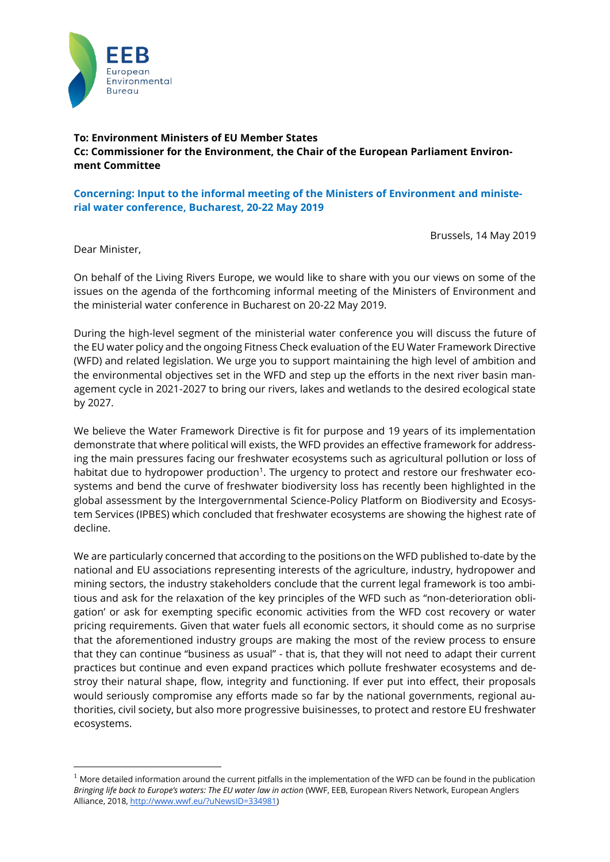

# **To: Environment Ministers of EU Member States Cc: Commissioner for the Environment, the Chair of the European Parliament Environment Committee**

## **Concerning: Input to the informal meeting of the Ministers of Environment and ministerial water conference, Bucharest, 20-22 May 2019**

Brussels, 14 May 2019

Dear Minister,

<u>.</u>

On behalf of the Living Rivers Europe, we would like to share with you our views on some of the issues on the agenda of the forthcoming informal meeting of the Ministers of Environment and the ministerial water conference in Bucharest on 20-22 May 2019.

During the high-level segment of the ministerial water conference you will discuss the future of the EU water policy and the ongoing Fitness Check evaluation of the EU Water Framework Directive (WFD) and related legislation. We urge you to support maintaining the high level of ambition and the environmental objectives set in the WFD and step up the efforts in the next river basin management cycle in 2021-2027 to bring our rivers, lakes and wetlands to the desired ecological state by 2027.

We believe the Water Framework Directive is fit for purpose and 19 years of its implementation demonstrate that where political will exists, the WFD provides an effective framework for addressing the main pressures facing our freshwater ecosystems such as agricultural pollution or loss of habitat due to hydropower production<sup>1</sup>. The urgency to protect and restore our freshwater ecosystems and bend the curve of freshwater biodiversity loss has recently been highlighted in the global assessment by the Intergovernmental Science-Policy Platform on Biodiversity and Ecosystem Services (IPBES) which concluded that freshwater ecosystems are showing the highest rate of decline.

We are particularly concerned that according to the positions on the WFD published to-date by the national and EU associations representing interests of the agriculture, industry, hydropower and mining sectors, the industry stakeholders conclude that the current legal framework is too ambitious and ask for the relaxation of the key principles of the WFD such as "non-deterioration obligation' or ask for exempting specific economic activities from the WFD cost recovery or water pricing requirements. Given that water fuels all economic sectors, it should come as no surprise that the aforementioned industry groups are making the most of the review process to ensure that they can continue "business as usual" - that is, that they will not need to adapt their current practices but continue and even expand practices which pollute freshwater ecosystems and destroy their natural shape, flow, integrity and functioning. If ever put into effect, their proposals would seriously compromise any efforts made so far by the national governments, regional authorities, civil society, but also more progressive buisinesses, to protect and restore EU freshwater ecosystems.

 $1$  More detailed information around the current pitfalls in the implementation of the WFD can be found in the publication *Bringing life back to Europe's waters: The EU water law in action* (WWF, EEB, European Rivers Network, European Anglers Alliance, 2018[, http://www.wwf.eu/?uNewsID=334981\)](http://www.wwf.eu/?uNewsID=334981)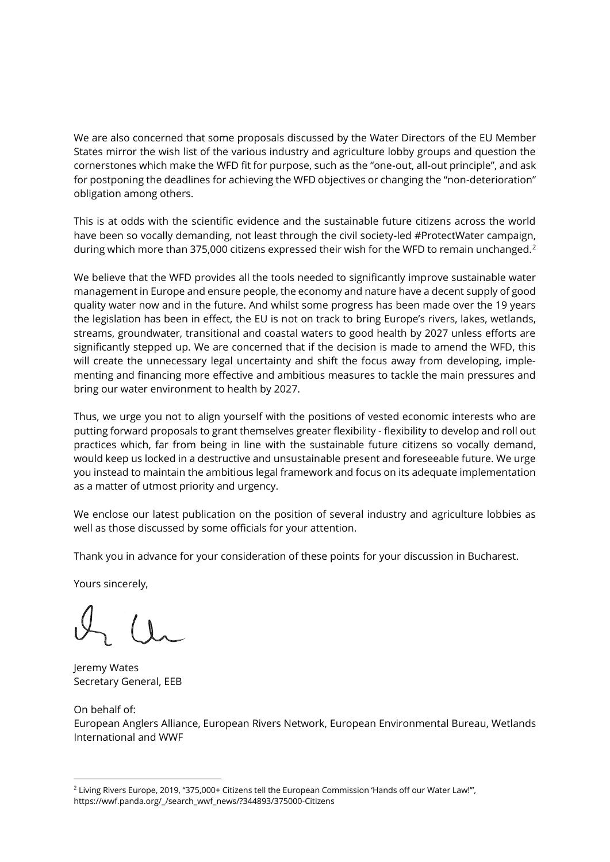We are also concerned that some proposals discussed by the Water Directors of the EU Member States mirror the wish list of the various industry and agriculture lobby groups and question the cornerstones which make the WFD fit for purpose, such as the "one-out, all-out principle", and ask for postponing the deadlines for achieving the WFD objectives or changing the "non-deterioration" obligation among others.

This is at odds with the scientific evidence and the sustainable future citizens across the world have been so vocally demanding, not least through the civil society-led #ProtectWater campaign, during which more than 375,000 citizens expressed their wish for the WFD to remain unchanged.<sup>2</sup>

We believe that the WFD provides all the tools needed to significantly improve sustainable water management in Europe and ensure people, the economy and nature have a decent supply of good quality water now and in the future. And whilst some progress has been made over the 19 years the legislation has been in effect, the EU is not on track to bring Europe's rivers, lakes, wetlands, streams, groundwater, transitional and coastal waters to good health by 2027 unless efforts are significantly stepped up. We are concerned that if the decision is made to amend the WFD, this will create the unnecessary legal uncertainty and shift the focus away from developing, implementing and financing more effective and ambitious measures to tackle the main pressures and bring our water environment to health by 2027.

Thus, we urge you not to align yourself with the positions of vested economic interests who are putting forward proposals to grant themselves greater flexibility - flexibility to develop and roll out practices which, far from being in line with the sustainable future citizens so vocally demand, would keep us locked in a destructive and unsustainable present and foreseeable future. We urge you instead to maintain the ambitious legal framework and focus on its adequate implementation as a matter of utmost priority and urgency.

We enclose our latest publication on the position of several industry and agriculture lobbies as well as those discussed by some officials for your attention.

Thank you in advance for your consideration of these points for your discussion in Bucharest.

Yours sincerely,

Jeremy Wates Secretary General, EEB

On behalf of: European Anglers Alliance, European Rivers Network, European Environmental Bureau, Wetlands International and WWF

<sup>&</sup>lt;u>.</u> <sup>2</sup> Living Rivers Europe, 2019, "375,000+ Citizens tell the European Commission 'Hands off our Water Law!"', https://wwf.panda.org/\_/search\_wwf\_news/?344893/375000-Citizens